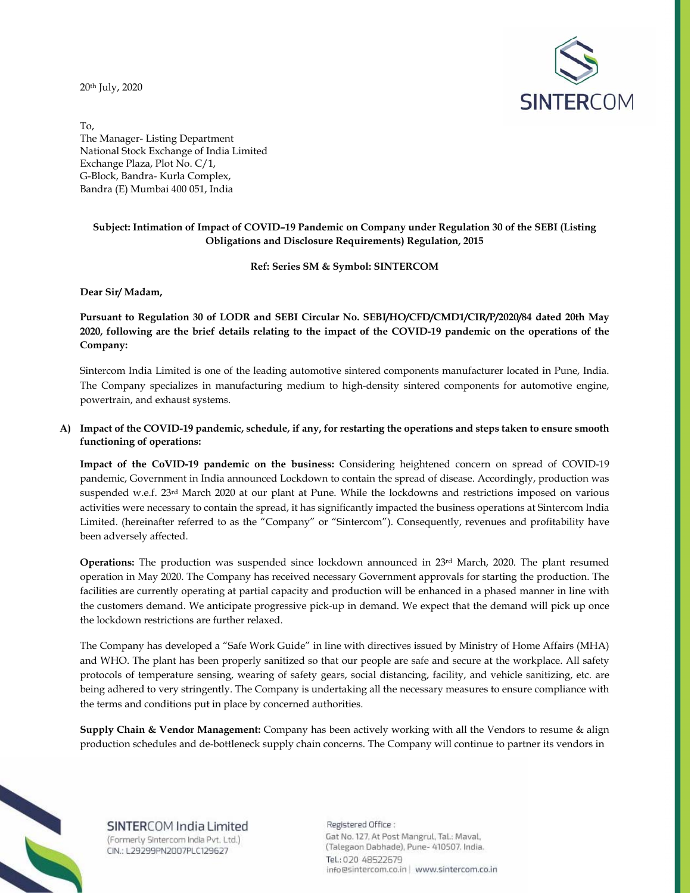20th July, 2020



To, The Manager- Listing Department National Stock Exchange of India Limited Exchange Plaza, Plot No. C/1, G-Block, Bandra- Kurla Complex, Bandra (E) Mumbai 400 051, India

## **Subject: Intimation of Impact of COVID–19 Pandemic on Company under Regulation 30 of the SEBI (Listing Obligations and Disclosure Requirements) Regulation, 2015**

**Ref: Series SM & Symbol: SINTERCOM** 

**Dear Sir/ Madam,** 

**Pursuant to Regulation 30 of LODR and SEBI Circular No. SEBI/HO/CFD/CMD1/CIR/P/2020/84 dated 20th May 2020, following are the brief details relating to the impact of the COVID-19 pandemic on the operations of the Company:** 

Sintercom India Limited is one of the leading automotive sintered components manufacturer located in Pune, India. The Company specializes in manufacturing medium to high-density sintered components for automotive engine, powertrain, and exhaust systems.

## **A) Impact of the COVID-19 pandemic, schedule, if any, for restarting the operations and steps taken to ensure smooth functioning of operations:**

**Impact of the CoVID-19 pandemic on the business:** Considering heightened concern on spread of COVID-19 pandemic, Government in India announced Lockdown to contain the spread of disease. Accordingly, production was suspended w.e.f. 23rd March 2020 at our plant at Pune. While the lockdowns and restrictions imposed on various activities were necessary to contain the spread, it has significantly impacted the business operations at Sintercom India Limited. (hereinafter referred to as the "Company" or "Sintercom"). Consequently, revenues and profitability have been adversely affected.

**Operations:** The production was suspended since lockdown announced in 23<sup>rd</sup> March, 2020. The plant resumed operation in May 2020. The Company has received necessary Government approvals for starting the production. The facilities are currently operating at partial capacity and production will be enhanced in a phased manner in line with the customers demand. We anticipate progressive pick-up in demand. We expect that the demand will pick up once the lockdown restrictions are further relaxed.

The Company has developed a "Safe Work Guide" in line with directives issued by Ministry of Home Affairs (MHA) and WHO. The plant has been properly sanitized so that our people are safe and secure at the workplace. All safety protocols of temperature sensing, wearing of safety gears, social distancing, facility, and vehicle sanitizing, etc. are being adhered to very stringently. The Company is undertaking all the necessary measures to ensure compliance with the terms and conditions put in place by concerned authorities.

**Supply Chain & Vendor Management:** Company has been actively working with all the Vendors to resume & align production schedules and de-bottleneck supply chain concerns. The Company will continue to partner its vendors in



SINTERCOM India Limited (Formerly Sintercom India Pvt. Ltd.) CIN.: L29299PN2007PLC129627

Registered Office: Gat No. 127, At Post Mangrul, Tal.: Maval, (Talegaon Dabhade), Pune- 410507. India. Tel.: 020 48522679 info@sintercom.co.in | www.sintercom.co.in